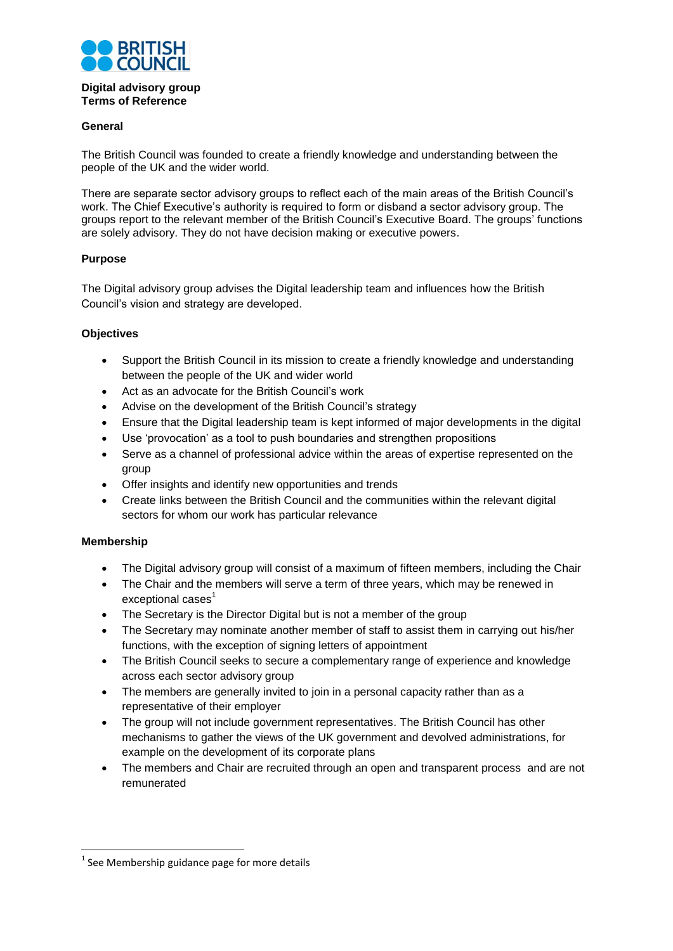

### **Digital advisory group Terms of Reference**

## **General**

The British Council was founded to create a friendly knowledge and understanding between the people of the UK and the wider world.

There are separate sector advisory groups to reflect each of the main areas of the British Council's work. The Chief Executive's authority is required to form or disband a sector advisory group. The groups report to the relevant member of the British Council's Executive Board. The groups' functions are solely advisory. They do not have decision making or executive powers.

# **Purpose**

The Digital advisory group advises the Digital leadership team and influences how the British Council's vision and strategy are developed.

### **Objectives**

- Support the British Council in its mission to create a friendly knowledge and understanding between the people of the UK and wider world
- Act as an advocate for the British Council's work
- Advise on the development of the British Council's strategy
- Ensure that the Digital leadership team is kept informed of major developments in the digital
- Use 'provocation' as a tool to push boundaries and strengthen propositions
- Serve as a channel of professional advice within the areas of expertise represented on the group
- Offer insights and identify new opportunities and trends
- Create links between the British Council and the communities within the relevant digital sectors for whom our work has particular relevance

## **Membership**

- The Digital advisory group will consist of a maximum of fifteen members, including the Chair
- The Chair and the members will serve a term of three years, which may be renewed in exceptional cases<sup>1</sup>
- The Secretary is the Director Digital but is not a member of the group
- The Secretary may nominate another member of staff to assist them in carrying out his/her functions, with the exception of signing letters of appointment
- The British Council seeks to secure a complementary range of experience and knowledge across each sector advisory group
- The members are generally invited to join in a personal capacity rather than as a representative of their employer
- The group will not include government representatives. The British Council has other mechanisms to gather the views of the UK government and devolved administrations, for example on the development of its corporate plans
- The members and Chair are recruited through an open and transparent process and are not remunerated

**<sup>.</sup>**  $<sup>1</sup>$  See Membership guidance page for more details</sup>